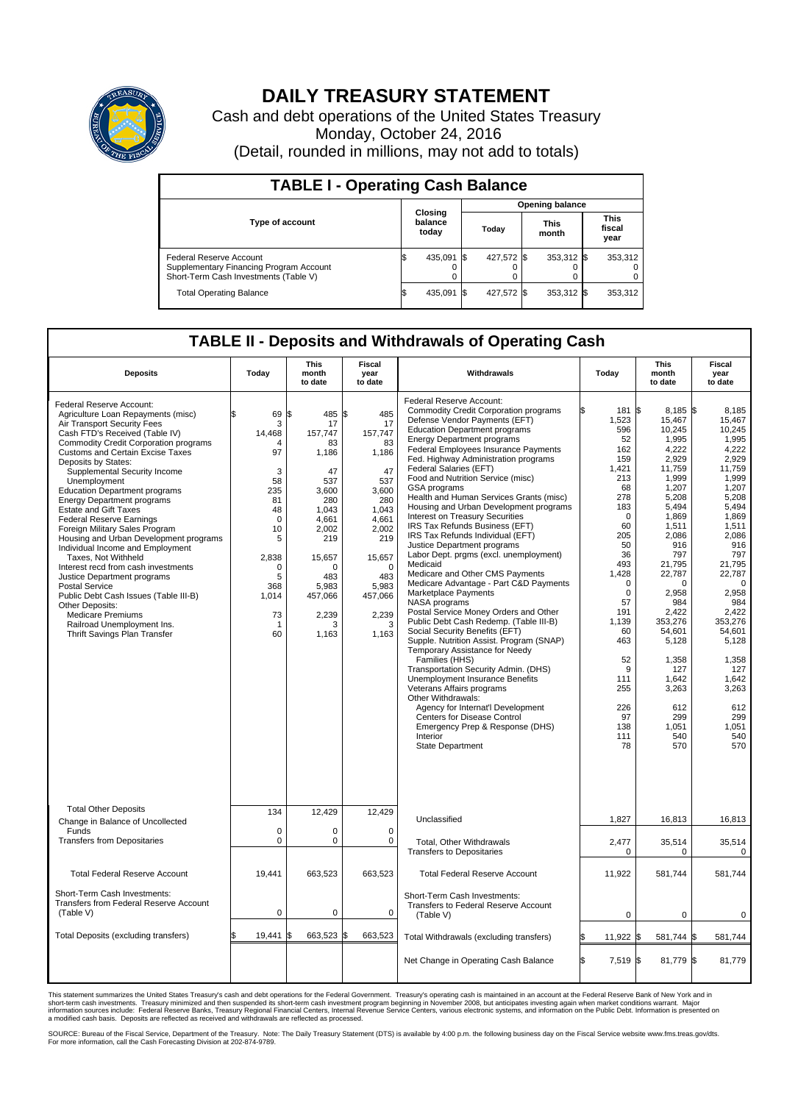

## **DAILY TREASURY STATEMENT**

Cash and debt operations of the United States Treasury Monday, October 24, 2016 (Detail, rounded in millions, may not add to totals)

| <b>TABLE I - Operating Cash Balance</b>                                                                     |  |                             |  |                        |  |                      |  |                               |  |  |  |
|-------------------------------------------------------------------------------------------------------------|--|-----------------------------|--|------------------------|--|----------------------|--|-------------------------------|--|--|--|
|                                                                                                             |  | Closing<br>balance<br>today |  | <b>Opening balance</b> |  |                      |  |                               |  |  |  |
| <b>Type of account</b>                                                                                      |  |                             |  | Today                  |  | <b>This</b><br>month |  | <b>This</b><br>fiscal<br>year |  |  |  |
| Federal Reserve Account<br>Supplementary Financing Program Account<br>Short-Term Cash Investments (Table V) |  | 435.091 \$                  |  | 427.572 \$             |  | $353,312$ \$         |  | 353,312                       |  |  |  |
| <b>Total Operating Balance</b>                                                                              |  | 435,091 \$                  |  | 427,572 \$             |  | 353,312 \$           |  | 353,312                       |  |  |  |

## **TABLE II - Deposits and Withdrawals of Operating Cash**

| <b>Deposits</b>                                                                                                                                                                                                                                                                                                                                                                                                                                                                                                                                                                                                                                                                                                                                                                                                                               | Today                                                                                                                                                              | This<br>month<br>to date                                                                                                                                                   | <b>Fiscal</b><br>year<br>to date                                                                                                                                                  | Withdrawals                                                                                                                                                                                                                                                                                                                                                                                                                                                                                                                                                                                                                                                                                                                                                                                                                                                                                                                                                                                                                                                                                                                                                                                                                                                                   | Today                                                                                                                                                                                                 | <b>This</b><br>month<br>to date                                                                                                                                                                                                                                                                                                                                   | Fiscal<br>year<br>to date                                                                                                                                                                                                                                                                          |
|-----------------------------------------------------------------------------------------------------------------------------------------------------------------------------------------------------------------------------------------------------------------------------------------------------------------------------------------------------------------------------------------------------------------------------------------------------------------------------------------------------------------------------------------------------------------------------------------------------------------------------------------------------------------------------------------------------------------------------------------------------------------------------------------------------------------------------------------------|--------------------------------------------------------------------------------------------------------------------------------------------------------------------|----------------------------------------------------------------------------------------------------------------------------------------------------------------------------|-----------------------------------------------------------------------------------------------------------------------------------------------------------------------------------|-------------------------------------------------------------------------------------------------------------------------------------------------------------------------------------------------------------------------------------------------------------------------------------------------------------------------------------------------------------------------------------------------------------------------------------------------------------------------------------------------------------------------------------------------------------------------------------------------------------------------------------------------------------------------------------------------------------------------------------------------------------------------------------------------------------------------------------------------------------------------------------------------------------------------------------------------------------------------------------------------------------------------------------------------------------------------------------------------------------------------------------------------------------------------------------------------------------------------------------------------------------------------------|-------------------------------------------------------------------------------------------------------------------------------------------------------------------------------------------------------|-------------------------------------------------------------------------------------------------------------------------------------------------------------------------------------------------------------------------------------------------------------------------------------------------------------------------------------------------------------------|----------------------------------------------------------------------------------------------------------------------------------------------------------------------------------------------------------------------------------------------------------------------------------------------------|
| Federal Reserve Account:<br>Agriculture Loan Repayments (misc)<br>Air Transport Security Fees<br>Cash FTD's Received (Table IV)<br><b>Commodity Credit Corporation programs</b><br><b>Customs and Certain Excise Taxes</b><br>Deposits by States:<br>Supplemental Security Income<br>Unemployment<br><b>Education Department programs</b><br><b>Energy Department programs</b><br><b>Estate and Gift Taxes</b><br><b>Federal Reserve Earnings</b><br>Foreign Military Sales Program<br>Housing and Urban Development programs<br>Individual Income and Employment<br>Taxes. Not Withheld<br>Interest recd from cash investments<br>Justice Department programs<br><b>Postal Service</b><br>Public Debt Cash Issues (Table III-B)<br>Other Deposits:<br><b>Medicare Premiums</b><br>Railroad Unemployment Ins.<br>Thrift Savings Plan Transfer | \$<br>69<br>3<br>14,468<br>$\overline{4}$<br>97<br>3<br>58<br>235<br>81<br>48<br>$\mathbf 0$<br>10<br>5<br>2,838<br>$\Omega$<br>5<br>368<br>1,014<br>73<br>1<br>60 | l\$<br>485<br>17<br>157,747<br>83<br>1,186<br>47<br>537<br>3,600<br>280<br>1,043<br>4,661<br>2.002<br>219<br>15,657<br>O<br>483<br>5,983<br>457,066<br>2,239<br>з<br>1,163 | l\$<br>485<br>17<br>157,747<br>83<br>1,186<br>47<br>537<br>3,600<br>280<br>1,043<br>4,661<br>2,002<br>219<br>15,657<br>$\Omega$<br>483<br>5,983<br>457,066<br>2,239<br>3<br>1,163 | Federal Reserve Account:<br><b>Commodity Credit Corporation programs</b><br>Defense Vendor Payments (EFT)<br><b>Education Department programs</b><br><b>Energy Department programs</b><br><b>Federal Employees Insurance Payments</b><br>Fed. Highway Administration programs<br>Federal Salaries (EFT)<br>Food and Nutrition Service (misc)<br>GSA programs<br>Health and Human Services Grants (misc)<br>Housing and Urban Development programs<br>Interest on Treasury Securities<br>IRS Tax Refunds Business (EFT)<br>IRS Tax Refunds Individual (EFT)<br>Justice Department programs<br>Labor Dept. prgms (excl. unemployment)<br>Medicaid<br>Medicare and Other CMS Payments<br>Medicare Advantage - Part C&D Payments<br>Marketplace Payments<br>NASA programs<br>Postal Service Money Orders and Other<br>Public Debt Cash Redemp. (Table III-B)<br>Social Security Benefits (EFT)<br>Supple. Nutrition Assist. Program (SNAP)<br>Temporary Assistance for Needy<br>Families (HHS)<br>Transportation Security Admin. (DHS)<br>Unemployment Insurance Benefits<br>Veterans Affairs programs<br>Other Withdrawals:<br>Agency for Internat'l Development<br><b>Centers for Disease Control</b><br>Emergency Prep & Response (DHS)<br>Interior<br><b>State Department</b> | 1,523<br>596<br>52<br>162<br>159<br>1.421<br>213<br>68<br>278<br>183<br>60<br>205<br>50<br>36<br>493<br>1,428<br>57<br>191<br>1,139<br>60<br>463<br>52<br>111<br>255<br>226<br>97<br>138<br>111<br>78 | 8,185 \$<br>181 \$<br>15,467<br>10,245<br>1,995<br>4.222<br>2,929<br>11.759<br>1,999<br>1.207<br>5,208<br>5,494<br>1,869<br>$\mathbf 0$<br>1,511<br>2.086<br>916<br>797<br>21,795<br>22,787<br>$\mathbf 0$<br>0<br>2,958<br>$\mathbf 0$<br>984<br>2,422<br>353,276<br>54,601<br>5,128<br>1,358<br>9<br>127<br>1,642<br>3,263<br>612<br>299<br>1,051<br>540<br>570 | 8,185<br>15,467<br>10.245<br>1,995<br>4,222<br>2,929<br>11.759<br>1,999<br>1,207<br>5,208<br>5,494<br>1,869<br>1,511<br>2.086<br>916<br>797<br>21,795<br>22,787<br>0<br>2,958<br>984<br>2,422<br>353,276<br>54,601<br>5,128<br>1,358<br>127<br>1,642<br>3,263<br>612<br>299<br>1,051<br>540<br>570 |
| <b>Total Other Deposits</b><br>Change in Balance of Uncollected                                                                                                                                                                                                                                                                                                                                                                                                                                                                                                                                                                                                                                                                                                                                                                               | 134                                                                                                                                                                | 12,429                                                                                                                                                                     | 12,429                                                                                                                                                                            | Unclassified                                                                                                                                                                                                                                                                                                                                                                                                                                                                                                                                                                                                                                                                                                                                                                                                                                                                                                                                                                                                                                                                                                                                                                                                                                                                  | 1,827                                                                                                                                                                                                 | 16,813                                                                                                                                                                                                                                                                                                                                                            | 16,813                                                                                                                                                                                                                                                                                             |
| Funds<br><b>Transfers from Depositaries</b>                                                                                                                                                                                                                                                                                                                                                                                                                                                                                                                                                                                                                                                                                                                                                                                                   | $\mathbf 0$<br>0                                                                                                                                                   | 0<br>0                                                                                                                                                                     | $\mathbf 0$<br>0                                                                                                                                                                  | Total, Other Withdrawals<br><b>Transfers to Depositaries</b>                                                                                                                                                                                                                                                                                                                                                                                                                                                                                                                                                                                                                                                                                                                                                                                                                                                                                                                                                                                                                                                                                                                                                                                                                  | 2,477                                                                                                                                                                                                 | 35,514<br>$\Omega$<br>0                                                                                                                                                                                                                                                                                                                                           | 35,514<br>$\mathbf 0$                                                                                                                                                                                                                                                                              |
| <b>Total Federal Reserve Account</b>                                                                                                                                                                                                                                                                                                                                                                                                                                                                                                                                                                                                                                                                                                                                                                                                          | 19,441                                                                                                                                                             | 663,523                                                                                                                                                                    | 663,523                                                                                                                                                                           | <b>Total Federal Reserve Account</b>                                                                                                                                                                                                                                                                                                                                                                                                                                                                                                                                                                                                                                                                                                                                                                                                                                                                                                                                                                                                                                                                                                                                                                                                                                          | 11,922                                                                                                                                                                                                | 581,744                                                                                                                                                                                                                                                                                                                                                           | 581,744                                                                                                                                                                                                                                                                                            |
| Short-Term Cash Investments:<br>Transfers from Federal Reserve Account<br>(Table V)                                                                                                                                                                                                                                                                                                                                                                                                                                                                                                                                                                                                                                                                                                                                                           | $\pmb{0}$                                                                                                                                                          | 0                                                                                                                                                                          | $\mathbf 0$                                                                                                                                                                       | Short-Term Cash Investments:<br>Transfers to Federal Reserve Account<br>(Table V)                                                                                                                                                                                                                                                                                                                                                                                                                                                                                                                                                                                                                                                                                                                                                                                                                                                                                                                                                                                                                                                                                                                                                                                             |                                                                                                                                                                                                       | 0<br>$\mathbf 0$                                                                                                                                                                                                                                                                                                                                                  | $\mathbf 0$                                                                                                                                                                                                                                                                                        |
| Total Deposits (excluding transfers)                                                                                                                                                                                                                                                                                                                                                                                                                                                                                                                                                                                                                                                                                                                                                                                                          | 19,441<br>\$                                                                                                                                                       | 663,523<br>\$                                                                                                                                                              | \$<br>663,523                                                                                                                                                                     | Total Withdrawals (excluding transfers)                                                                                                                                                                                                                                                                                                                                                                                                                                                                                                                                                                                                                                                                                                                                                                                                                                                                                                                                                                                                                                                                                                                                                                                                                                       | 11,922 \$<br>ß.                                                                                                                                                                                       | 581,744 \$                                                                                                                                                                                                                                                                                                                                                        | 581,744                                                                                                                                                                                                                                                                                            |
|                                                                                                                                                                                                                                                                                                                                                                                                                                                                                                                                                                                                                                                                                                                                                                                                                                               |                                                                                                                                                                    |                                                                                                                                                                            |                                                                                                                                                                                   | Net Change in Operating Cash Balance                                                                                                                                                                                                                                                                                                                                                                                                                                                                                                                                                                                                                                                                                                                                                                                                                                                                                                                                                                                                                                                                                                                                                                                                                                          | \$.<br>7,519 \$                                                                                                                                                                                       | 81,779 \$                                                                                                                                                                                                                                                                                                                                                         | 81,779                                                                                                                                                                                                                                                                                             |

This statement summarizes the United States Treasury's cash and debt operations for the Federal Government. Treasury's operating cash is maintained in an account at the Federal Reserve Bank of New York and in<br>short-term ca

SOURCE: Bureau of the Fiscal Service, Department of the Treasury. Note: The Daily Treasury Statement (DTS) is available by 4:00 p.m. the following business day on the Fiscal Service website www.fms.treas.gov/dts.<br>For more